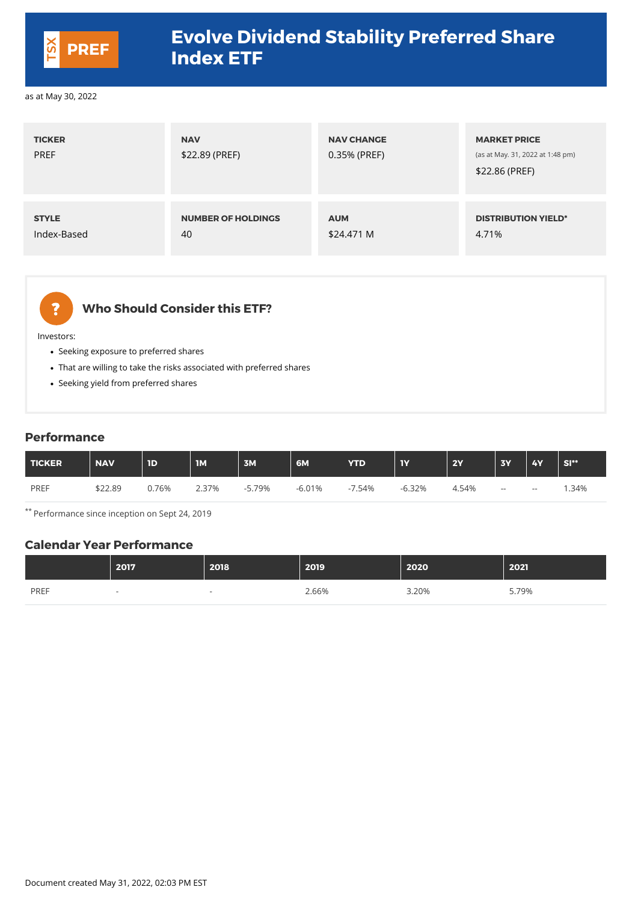| <b>TICKER</b><br><b>PREF</b> | <b>NAV</b><br>\$22.89 (PREF) | <b>NAV CHANGE</b><br>0.35% (PREF) | <b>MARKET PRICE</b><br>(as at May. 31, 2022 at 1:48 pm)<br>\$22.86 (PREF) |
|------------------------------|------------------------------|-----------------------------------|---------------------------------------------------------------------------|
| <b>STYLE</b>                 | <b>NUMBER OF HOLDINGS</b>    | <b>AUM</b>                        | <b>DISTRIBUTION YIELD*</b>                                                |
| Index-Based                  | 40                           | \$24.471 M                        | 4.71%                                                                     |



## **Who Should Consider this ETF?**

Investors:

- Seeking exposure to preferred shares
- That are willing to take the risks associated with preferred shares
- Seeking yield from preferred shares

#### **Performance**

| TICKER      | <b>NAV</b> | 1D          | <b>IM</b> | 3M       | 6M       | <b>YTD</b> | <b>IY</b> | <b>2Y</b> | <b>3Y</b>  | <b>4Y</b> | SI** |
|-------------|------------|-------------|-----------|----------|----------|------------|-----------|-----------|------------|-----------|------|
| <b>PREF</b> | \$22.89    | <b>.76%</b> | 2.37%     | $-5.79%$ | $-6.01%$ | 7.54%      | $-6.32%$  | 4.54%     | $\sim$ $-$ | $  \,$    | .34% |

\*\* Performance since inception on Sept 24, 2019

#### **Calendar Year Performance**

|             | 2017                     | 2018                     | 2019  | 2020  | 2021  |
|-------------|--------------------------|--------------------------|-------|-------|-------|
| <b>PREF</b> | $\overline{\phantom{a}}$ | $\overline{\phantom{a}}$ | 2.66% | 3.20% | 5.79% |

Document created May 31, 2022, 02:03 PM EST



## **Evolve Dividend Stability Preferred Share Index ETF PREF**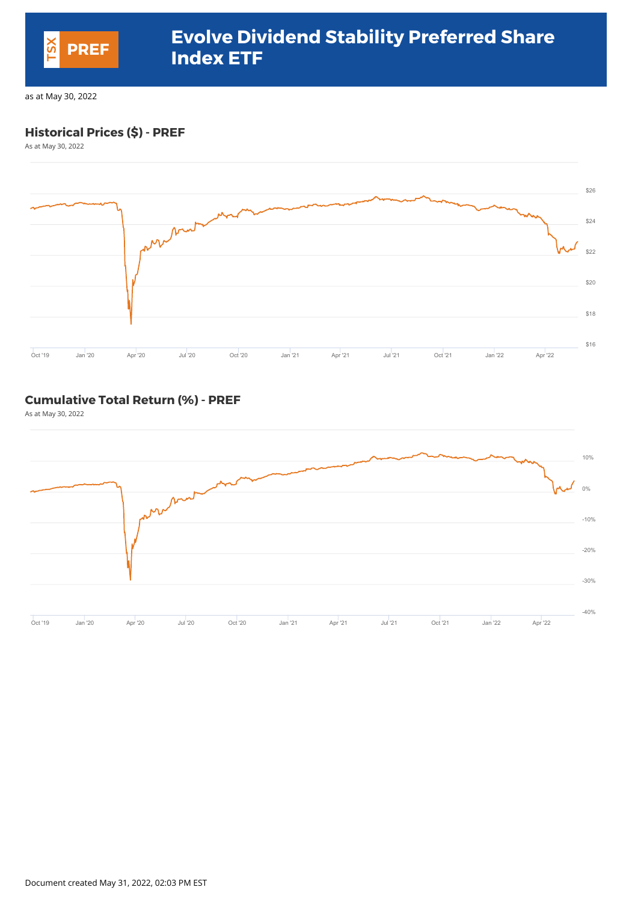### **Historical Prices (\$) - PREF**

As at May 30, 2022



#### **Cumulative Total Return (%) - PREF**

As at May 30, 2022



Document created May 31, 2022, 02:03 PM EST



## **Evolve Dividend Stability Preferred Share Index ETF PREF**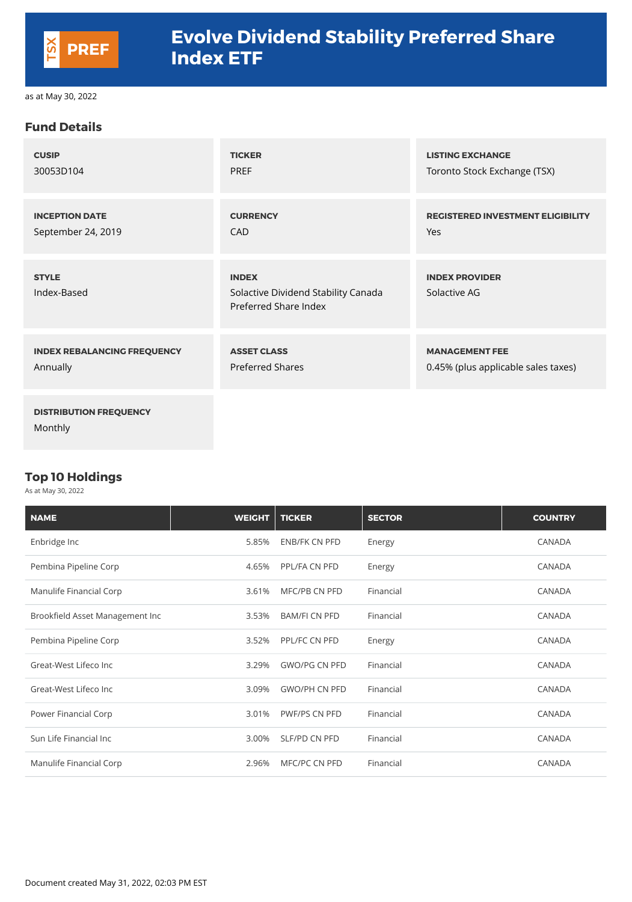#### **Fund Details**

| <b>CUSIP</b>                             | <b>TICKER</b>                                                                | <b>LISTING EXCHANGE</b>                  |
|------------------------------------------|------------------------------------------------------------------------------|------------------------------------------|
| 30053D104                                | <b>PREF</b>                                                                  | Toronto Stock Exchange (TSX)             |
| <b>INCEPTION DATE</b>                    | <b>CURRENCY</b>                                                              | <b>REGISTERED INVESTMENT ELIGIBILITY</b> |
| September 24, 2019                       | <b>CAD</b>                                                                   | Yes                                      |
| <b>STYLE</b><br>Index-Based              | <b>INDEX</b><br>Solactive Dividend Stability Canada<br>Preferred Share Index | <b>INDEX PROVIDER</b><br>Solactive AG    |
| <b>INDEX REBALANCING FREQUENCY</b>       | <b>ASSET CLASS</b>                                                           | <b>MANAGEMENT FEE</b>                    |
| Annually                                 | <b>Preferred Shares</b>                                                      | 0.45% (plus applicable sales taxes)      |
| <b>DISTRIBUTION FREQUENCY</b><br>Monthly |                                                                              |                                          |

#### **Top 10 Holdings**

As at May 30, 2022



| <b>NAME</b>                     | <b>WEIGHT</b> | <b>TICKER</b>        | <b>SECTOR</b> | <b>COUNTRY</b> |
|---------------------------------|---------------|----------------------|---------------|----------------|
| Enbridge Inc                    | 5.85%         | ENB/FK CN PFD        | Energy        | <b>CANADA</b>  |
| Pembina Pipeline Corp           | 4.65%         | PPL/FA CN PFD        | Energy        | <b>CANADA</b>  |
| Manulife Financial Corp         | 3.61%         | MFC/PB CN PFD        | Financial     | <b>CANADA</b>  |
| Brookfield Asset Management Inc | 3.53%         | <b>BAM/FI CN PFD</b> | Financial     | <b>CANADA</b>  |

| Pembina Pipeline Corp   | 3.52% | <b>PPL/FC CN PFD</b> | Energy    | <b>CANADA</b> |
|-------------------------|-------|----------------------|-----------|---------------|
| Great-West Lifeco Inc   | 3.29% | <b>GWO/PG CN PFD</b> | Financial | <b>CANADA</b> |
| Great-West Lifeco Inc   | 3.09% | <b>GWO/PH CN PFD</b> | Financial | <b>CANADA</b> |
| Power Financial Corp    | 3.01% | <b>PWF/PS CN PFD</b> | Financial | <b>CANADA</b> |
| Sun Life Financial Inc  | 3.00% | SLF/PD CN PFD        | Financial | <b>CANADA</b> |
| Manulife Financial Corp | 2.96% | MFC/PC CN PFD        | Financial | <b>CANADA</b> |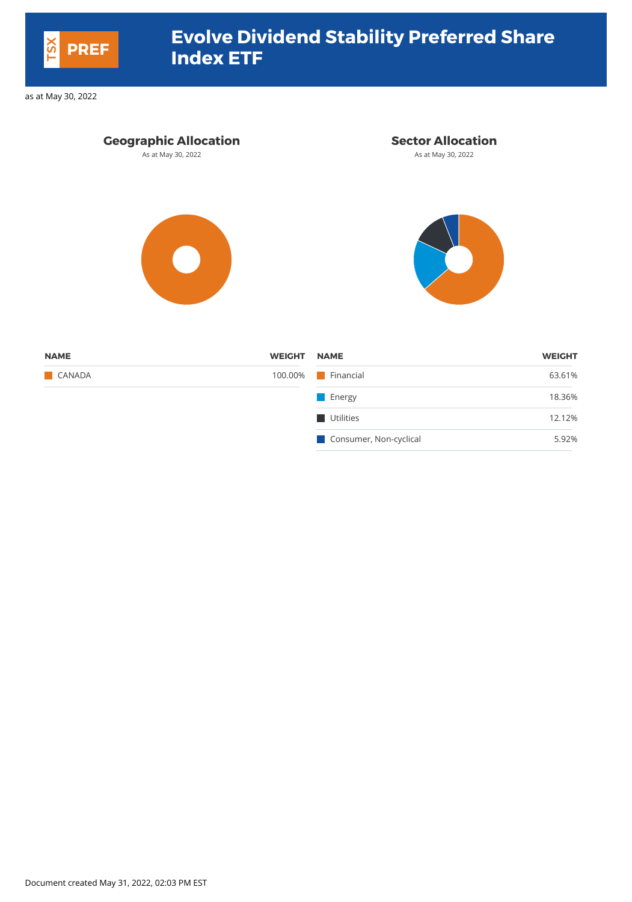| <b>WEIGHT</b><br><b>NAME</b> | <b>WEIGHT</b> |
|------------------------------|---------------|
| <b>Financial</b><br>100.00%  | 63.61%        |
| <b>Energy</b>                | 18.36%        |
| <b>Utilities</b>             | 12.12%        |
| Consumer, Non-cyclical       | 5.92%         |
|                              |               |

Document created May 31, 2022, 02:03 PM EST



# **Evolve Dividend Stability Preferred Share Index ETF PREF**

as at May 30, 2022

# **Geographic Allocation Sector Allocation** As at May 30, 2022 **As at May 30, 2022** As at May 30, 2022